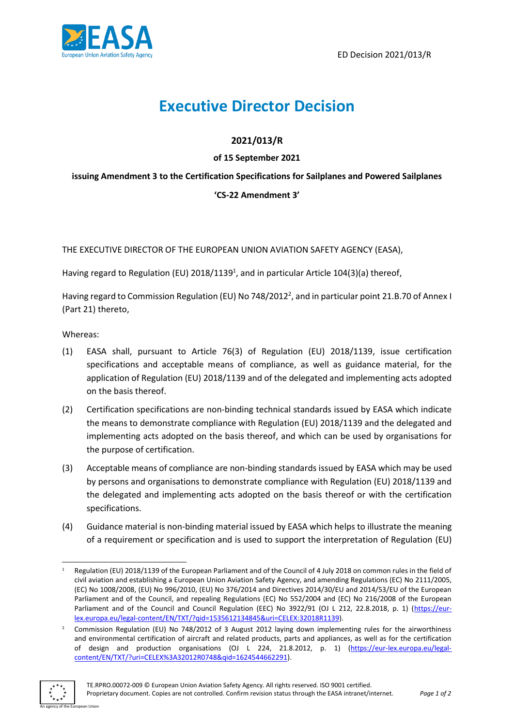

# **Executive Director Decision**

## **2021/013/R**

### **of 15 September 2021**

## **issuing Amendment 3 to the Certification Specifications for Sailplanes and Powered Sailplanes**

### **'CS-22 Amendment 3'**

THE EXECUTIVE DIRECTOR OF THE EUROPEAN UNION AVIATION SAFETY AGENCY (EASA),

Having regard to Regulation (EU) 2018/1139<sup>1</sup>, and in particular Article 104(3)(a) thereof,

Having regard to Commission Regulation (EU) No 748/2012<sup>2</sup>, and in particular point 21.B.70 of Annex I (Part 21) thereto,

Whereas:

- (1) EASA shall, pursuant to Article 76(3) of Regulation (EU) 2018/1139, issue certification specifications and acceptable means of compliance, as well as guidance material, for the application of Regulation (EU) 2018/1139 and of the delegated and implementing acts adopted on the basis thereof.
- (2) Certification specifications are non-binding technical standards issued by EASA which indicate the means to demonstrate compliance with Regulation (EU) 2018/1139 and the delegated and implementing acts adopted on the basis thereof, and which can be used by organisations for the purpose of certification.
- (3) Acceptable means of compliance are non-binding standards issued by EASA which may be used by persons and organisations to demonstrate compliance with Regulation (EU) 2018/1139 and the delegated and implementing acts adopted on the basis thereof or with the certification specifications.
- (4) Guidance material is non-binding material issued by EASA which helps to illustrate the meaning of a requirement or specification and is used to support the interpretation of Regulation (EU)

<sup>2</sup> Commission Regulation (EU) No 748/2012 of 3 August 2012 laying down implementing rules for the airworthiness and environmental certification of aircraft and related products, parts and appliances, as well as for the certification of design and production organisations (OJ L 224, 21.8.2012, p. 1) [\(https://eur-lex.europa.eu/legal](https://eur-lex.europa.eu/legal-content/EN/TXT/?uri=CELEX%3A32012R0748&qid=1624544662291)[content/EN/TXT/?uri=CELEX%3A32012R0748&qid=1624544662291\)](https://eur-lex.europa.eu/legal-content/EN/TXT/?uri=CELEX%3A32012R0748&qid=1624544662291).



Regulation (EU) 2018/1139 of the European Parliament and of the Council of 4 July 2018 on common rules in the field of civil aviation and establishing a European Union Aviation Safety Agency, and amending Regulations (EC) No 2111/2005, (EC) No 1008/2008, (EU) No 996/2010, (EU) No 376/2014 and Directives 2014/30/EU and 2014/53/EU of the European Parliament and of the Council, and repealing Regulations (EC) No 552/2004 and (EC) No 216/2008 of the European Parliament and of the Council and Council Regulation (EEC) No 3922/91 (OJ L 212, 22.8.2018, p. 1) [\(https://eur](https://eur-lex.europa.eu/legal-content/EN/TXT/?qid=1535612134845&uri=CELEX:32018R1139)[lex.europa.eu/legal-content/EN/TXT/?qid=1535612134845&uri=CELEX:32018R1139\)](https://eur-lex.europa.eu/legal-content/EN/TXT/?qid=1535612134845&uri=CELEX:32018R1139).